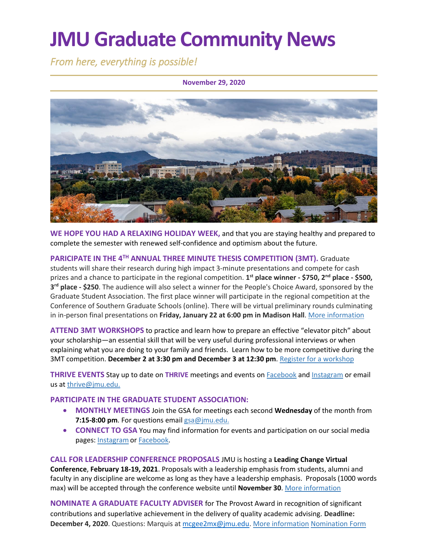# **JMU Graduate Community News**

*From here, everything is possible!* 

#### **November 29, 2020**



**WE HOPE YOU HAD A RELAXING HOLIDAY WEEK,** and that you are staying healthy and prepared to complete the semester with renewed self-confidence and optimism about the future.

**PARICIPATE IN THE 4TH ANNUAL THREE MINUTE THESIS COMPETITION (3MT).** Graduate students will share their research during high impact 3-minute presentations and compete for cash prizes and a chance to participate in the regional competition. **1 st place winner - \$750, 2nd place - \$500, 3 rd place - \$250**. The audience will also select a winner for the People's Choice Award, sponsored by the Graduate Student Association. The first place winner will participate in the regional competition at the Conference of Southern Graduate Schools (online). There will be virtual preliminary rounds culminating in in-person final presentations on **Friday, January 22 at 6:00 pm in Madison Hall**. More [information](https://www.jmu.edu/grad/current-students/three-minute-thesis.shtml)

**ATTEND 3MT WORKSHOPS** to practice and learn how to prepare an effective "elevator pitch" about your scholarship—an essential skill that will be very useful during professional interviews or when explaining what you are doing to your family and friends. Learn how to be more competitive during the 3MT competition. December 2 at 3:30 pm and December 3 at 12:30 pm. [Register for a workshop](https://docs.google.com/forms/d/e/1FAIpQLScYPuPFyWnpKwQxTZy1ocrSC1u02YHBazlJ6Gnn49EmSwzJGQ/viewform)

**THRIVE EVENTS** Stay up to date on **THRIVE** meetings and events on [Facebook](https://www.facebook.com/ThriveJMU) and [Instagram](https://www.instagram.com/jmuthrive/) or email us at [thrive@jmu.edu.](mailto:thrive@jmu.edu)

#### **PARTICIPATE IN THE GRADUATE STUDENT ASSOCIATION:**

- **MONTHLY MEETINGS** Join the GSA for meetings each second **Wednesday** of the month from **7:15-8:00 pm**. For questions emai[l gsa@jmu.edu.](mailto:gsa@jmu.edu)
- **CONNECT TO GSA** You may find information for events and participation on our social media pages: [Instagramo](https://www.instagram.com/jmu_gsa/)r [Facebook.](https://www.facebook.com/JMUGSA/)

**CALL FOR LEADERSHIP CONFERENCE PROPOSALS** JMU is hosting a **Leading Change Virtual Conference**, **February 18-19, 2021**. Proposals with a leadership emphasis from students, alumni and faculty in any discipline are welcome as long as they have a leadership emphasis. Proposals (1000 words max) will be accepted through the conference website until **November 30**[. More information](https://www.jmu.edu/leadership/LEADCC21/index.shtml)

**NOMINATE A GRADUATE FACULTY ADVISER** for The Provost Award in recognition of significant contributions and superlative achievement in the delivery of quality academic advising. **Deadline: December 4, 2020**. Questions: Marquis at [mcgee2mx@jmu.edu.](mailto:mcgee2mx@jmu.edu) [More information](https://www.jmu.edu/universitystudies/advising-award.shtml) [Nomination Form](https://www.jmu.edu/universitystudies/nominations.shtml)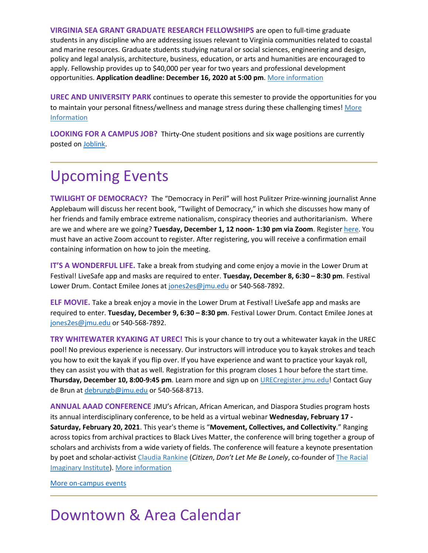**VIRGINIA SEA GRANT GRADUATE RESEARCH FELLOWSHIPS** are open to full-time graduate students in any discipline who are addressing issues relevant to Virginia communities related to coastal and marine resources. Graduate students studying natural or social sciences, engineering and design, policy and legal analysis, architecture, business, education, or arts and humanities are encouraged to apply. Fellowship provides up to \$40,000 per year for two years and professional development opportunities. **Application deadline: December 16, 2020 at 5:00 pm**[. More information](https://vaseagrant.org/fellowship-research-funding/fellowships/research-fellowships/virginia-sea-grant-graduate-research-fellowships-2/?utm_source=VASG+Newsletter&utm_campaign=a215045299-EMAIL_CAMPAIGN_2019_10_02_05_31_COPY_01&utm_medium=email&utm_term=0_b691fb6d5b-a215045299-455757025)

**UREC AND UNIVERSITY PARK** continues to operate this semester to provide the opportunities for you to maintain your personal fitness/wellness and manage stress during these challenging times! More [Information](https://www.jmu.edu/recreation/covid19/index.shtml)

**LOOKING FOR A CAMPUS JOB?** Thirty-One student positions and six wage positions are currently posted on [Joblink.](https://joblink.jmu.edu/)

### Upcoming Events

**TWILIGHT OF DEMOCRACY?** The "Democracy in Peril" will host Pulitzer Prize-winning journalist Anne Applebaum will discuss her recent book, "Twilight of Democracy," in which she discusses how many of her friends and family embrace extreme nationalism, conspiracy theories and authoritarianism. Where are we and where are we going? **Tuesday, December 1, 12 noon- 1:30 pm via Zoom**. Register [here.](https://us02web.zoom.us/meeting/register/tZckcOCuqj4jG92SZKrZiJXsdlo9t5eoo3ep) You must have an active Zoom account to register. After registering, you will receive a confirmation email containing information on how to join the meeting.

**IT'S A WONDERFUL LIFE.** Take a break from studying and come enjoy a movie in the Lower Drum at Festival! LiveSafe app and masks are required to enter. **Tuesday, December 8, 6:30 – 8:30 pm**. Festival Lower Drum. Contact Emilee Jones at [jones2es@jmu.edu](mailto:jones2es@jmu.edu) or 540-568-7892.

**ELF MOVIE.** Take a break enjoy a movie in the Lower Drum at Festival! LiveSafe app and masks are required to enter. **Tuesday, December 9, 6:30 – 8:30 pm**. Festival Lower Drum. Contact Emilee Jones at [jones2es@jmu.edu](mailto:jones2es@jmu.edu) or 540-568-7892.

**TRY WHITEWATER KYAKING AT UREC!** This is your chance to try out a whitewater kayak in the UREC pool! No previous experience is necessary. Our instructors will introduce you to kayak strokes and teach you how to exit the kayak if you flip over. If you have experience and want to practice your kayak roll, they can assist you with that as well. Registration for this program closes 1 hour before the start time. **Thursday, December 10, 8:00-9:45 pm**. Learn more and sign up on [URECregister.jmu.edu!](https://urecregister.jmu.edu/) Contact Guy de Brun at [debrungb@jmu.edu](mailto:debrungb@jmu.edu) or 540-568-8713.

**ANNUAL AAAD CONFERENCE** JMU's African, African American, and Diaspora Studies program hosts its annual interdisciplinary conference, to be held as a virtual webinar **Wednesday, February 17 - Saturday, February 20, 2021**. This year's theme is "**Movement, Collectives, and Collectivity**." Ranging across topics from archival practices to Black Lives Matter, the conference will bring together a group of scholars and archivists from a wide variety of fields. The conference will feature a keynote presentation by poet and scholar-activist [Claudia Rankine](https://afamstudies.yale.edu/people/claudia-rankine) (*Citizen*, *Don't Let Me Be Lonely*, co-founder o[f](https://theracialimaginary.org/) [The Racial](https://theracialimaginary.org/)  [Imaginary Institute\)](https://theracialimaginary.org/). [More information](https://www.jmu.edu/africana/aaad-conference.shtml)

#### [More on-campus events](https://ems.jmu.edu/MasterCalendar/MasterCalendar.aspx?_ga=2.261279492.802742690.1601384782-920476218.1518451077)

### Downtown & Area Calendar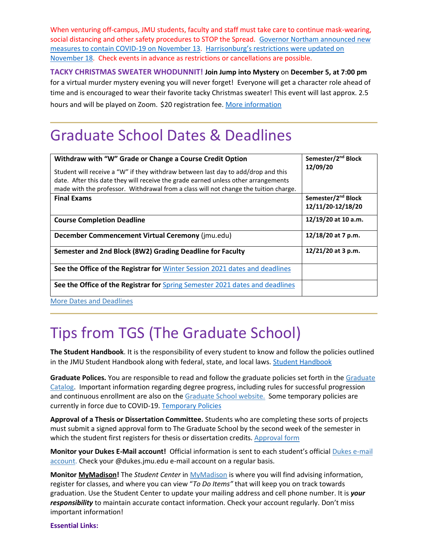When venturing off-campus, JMU students, faculty and staff must take care to continue mask-wearing, social distancing and other safety procedures to STOP the Spread. [Governor Northam announced new](https://www.governor.virginia.gov/newsroom/all-releases/2020/november/headline-861342-en.html)  [measures to contain COVID-19 on November 13.](https://www.governor.virginia.gov/newsroom/all-releases/2020/november/headline-861342-en.html) [Harrisonburg's restrictions were updated on](https://www.harrisonburgva.gov/novel-coronavirus)  [November 18.](https://www.harrisonburgva.gov/novel-coronavirus) Check events in advance as restrictions or cancellations are possible.

**TACKY CHRISTMAS SWEATER WHODUNNIT! Join Jump into Mystery** on **December 5, at 7:00 pm** for a virtual murder mystery evening you will never forget! Everyone will get a character role ahead of time and is encouraged to wear their favorite tacky Christmas sweater! This event will last approx. 2.5 hours and will be played on Zoom. \$20 registration fee[. More information](https://www.visitharrisonburgva.com/event/a-tacky-christmas-sweater-whodunnit-by-jump-into-mystery-12-5-20-700-pm-et/)

### Graduate School Dates & Deadlines

| Withdraw with "W" Grade or Change a Course Credit Option<br>Student will receive a "W" if they withdraw between last day to add/drop and this<br>date. After this date they will receive the grade earned unless other arrangements<br>made with the professor. Withdrawal from a class will not change the tuition charge. | Semester/2 <sup>nd</sup> Block<br>12/09/20          |
|-----------------------------------------------------------------------------------------------------------------------------------------------------------------------------------------------------------------------------------------------------------------------------------------------------------------------------|-----------------------------------------------------|
| <b>Final Exams</b>                                                                                                                                                                                                                                                                                                          | Semester/2 <sup>nd</sup> Block<br>12/11/20-12/18/20 |
| <b>Course Completion Deadline</b>                                                                                                                                                                                                                                                                                           | 12/19/20 at 10 a.m.                                 |
| December Commencement Virtual Ceremony (jmu.edu)                                                                                                                                                                                                                                                                            | 12/18/20 at 7 p.m.                                  |
| Semester and 2nd Block (8W2) Grading Deadline for Faculty                                                                                                                                                                                                                                                                   | 12/21/20 at 3 p.m.                                  |
| See the Office of the Registrar for Winter Session 2021 dates and deadlines                                                                                                                                                                                                                                                 |                                                     |
| See the Office of the Registrar for Spring Semester 2021 dates and deadlines                                                                                                                                                                                                                                                |                                                     |

[More Dates and Deadlines](https://www.jmu.edu/grad/grad-community/index.shtml)

## Tips from TGS (The Graduate School)

**The Student Handbook**. It is the responsibility of every student to know and follow the policies outlined in the JMU [Student Handbook](https://www.jmu.edu/osarp/handbook/index.shtml) along with federal, state, and local laws. Student Handbook

**Graduate Polices.** You are responsible to read and follow the graduate policies set forth in the [Graduate](http://jmu.edu/catalog)  [Catalog.](http://jmu.edu/catalog) Important information regarding degree progress, including rules for successful progression and continuous enrollment are also on the [Graduate School website.](https://www.jmu.edu/grad/current-students/degree-progress/index.shtml) Some temporary policies are currently in force due to COVID-19. [Temporary Policies](https://www.jmu.edu/grad/temporary-graduate-school-policies.shtml)

**Approval of a Thesis or Dissertation Committee.** Students who are completing these sorts of projects must submit a signed approval form to The Graduate School by the second week of the semester in which the student first registers for thesis or dissertation credits. [Approval form](https://www.jmu.edu/grad/_files/CommitteeApprovalForm2017-18.pdf)

**Monitor your Dukes E-Mail account!** Official information is sent to each student's official [Dukes e-mail](http://www.jmu.edu/computing/helpdesk/selfhelp/DukesEmail.shtml)  [account.](http://www.jmu.edu/computing/helpdesk/selfhelp/DukesEmail.shtml) Check your @dukes.jmu.edu e-mail account on a regular basis.

**Monitor [MyMadison!](http://mymadison.jmu.edu/)** The *Student Center* in [MyMadison](http://mymadison.jmu.edu/) is where you will find advising information, register for classes, and where you can view "*To Do Items"* that will keep you on track towards graduation. Use the Student Center to update your mailing address and cell phone number. It is *your responsibility* to maintain accurate contact information. Check your account regularly. Don't miss important information!

**Essential Links:**